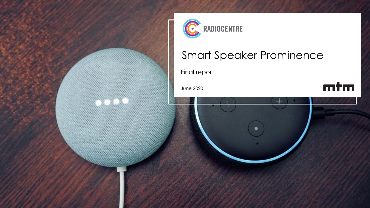



# Smart Speaker Prominence

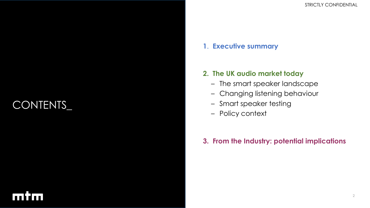# CONTENTS\_

### **1**. **Executive summary**

### **2. The UK audio market today**

- The smart speaker landscape
- Changing listening behaviour
- Smart speaker testing
- Policy context

### **3. From the Industry: potential implications**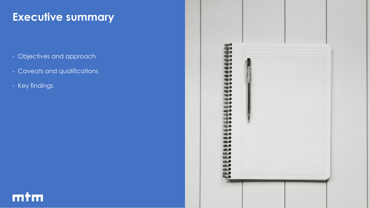## **Executive summary**

- Objectives and approach
- Caveats and qualifications
- Key findings



# mtm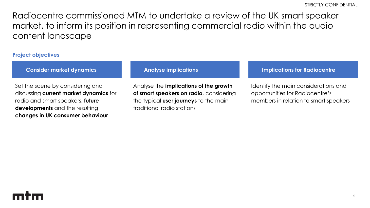Radiocentre commissioned MTM to undertake a review of the UK smart speaker market, to inform its position in representing commercial radio within the audio content landscape

#### **Project objectives**

Set the scene by considering and discussing **current market dynamics** for radio and smart speakers, **future developments** and the resulting **changes in UK consumer behaviour**

Analyse the **implications of the growth of smart speakers on radio**, considering the typical **user journeys** to the main traditional radio stations

#### **Consider market dynamics Analyse implications Implications for Radiocentre**

Identify the main considerations and opportunities for Radiocentre's members in relation to smart speakers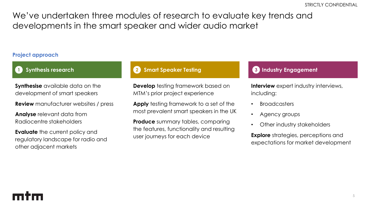We've undertaken three modules of research to evaluate key trends and developments in the smart speaker and wider audio market

#### **Project approach**

### **1**

**Synthesise** available data on the development of smart speakers

**Review** manufacturer websites / press

**Analyse** relevant data from Radiocentre stakeholders

**Evaluate** the current policy and regulatory landscape for radio and other adjacent markets

#### **1 Synthesis research 2 Smart Speaker Testing 3 Industry Engagement**

**Develop** testing framework based on MTM's prior project experience

**Apply** testing framework to a set of the most prevalent smart speakers in the UK

**Produce** summary tables, comparing the features, functionality and resulting user journeys for each device

**Interview** expert industry interviews, including:

- **Broadcasters**
- Agency groups
- Other industry stakeholders

**Explore** strategies, perceptions and expectations for market development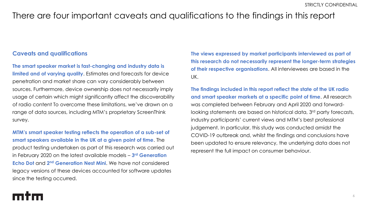### There are four important caveats and qualifications to the findings in this report

#### **Caveats and qualifications**

**The smart speaker market is fast-changing and industry data is limited and of varying quality**. Estimates and forecasts for device penetration and market share can vary considerably between sources. Furthermore, device ownership does not necessarily imply usage of certain which might significantly affect the discoverability of radio content To overcome these limitations, we've drawn on a range of data sources, including MTM's proprietary ScreenThink survey.

**MTM's smart speaker testing reflects the operation of a sub-set of smart speakers available in the UK at a given point of time**. The product testing undertaken as part of this research was carried out in February 2020 on the latest available models – **3 rd Generation Echo Dot** and 2<sup>nd</sup> Generation Nest Mini. We have not considered legacy versions of these devices accounted for software updates since the testing occurred.

**The views expressed by market participants interviewed as part of this research do not necessarily represent the longer-term strategies of their respective organisations**. All interviewees are based in the UK.

**The findings included in this report reflect the state of the UK radio and smart speaker markets at a specific point of time**. All research was completed between February and April 2020 and forwardlooking statements are based on historical data, 3<sup>rd</sup> party forecasts, industry participants' current views and MTM's best professional judgement. In particular, this study was conducted amidst the COVID-19 outbreak and, whilst the findings and conclusions have been updated to ensure relevancy, the underlying data does not represent the full impact on consumer behaviour.

# mtm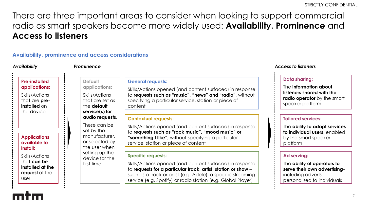There are three important areas to consider when looking to support commercial radio as smart speakers become more widely used: **Availability**, **Prominence** and **Access to listeners**

#### **Availability, prominence and access considerations**

| <b>Availability</b>                                                                                           | Prominence                                                                                                   |                                                                                                                                                                                                                                                                                        | <b>Access to listeners</b>                                                                                                           |
|---------------------------------------------------------------------------------------------------------------|--------------------------------------------------------------------------------------------------------------|----------------------------------------------------------------------------------------------------------------------------------------------------------------------------------------------------------------------------------------------------------------------------------------|--------------------------------------------------------------------------------------------------------------------------------------|
| <b>Pre-installed</b><br>applications:<br>Skills/Actions<br>that are <b>pre-</b><br>installed on<br>the device | <b>Default</b><br>applications:<br>Skills/Actions<br>that are set as<br>the <b>default</b><br>service(s) for | <b>General requests:</b><br>Skills/Actions opened (and content surfaced) in response<br>to requests such as "music", "news" and "radio", without<br>specifying a particular service, station or piece of<br>content                                                                    | <b>Data sharing:</b><br>The information about<br>listeners shared with the<br><b>radio operator</b> by the smart<br>speaker platform |
| <b>Applications</b><br>available to<br>install:                                                               | audio requests.<br>These can be<br>set by the<br>manufacturer,<br>or selected by<br>the user when            | <b>Contextual requests:</b><br>Skills/Actions opened (and content surfaced) in response<br>to requests such as "rock music", "mood music" or<br>"something I like", without specifying a particular<br>service, station or piece of content                                            | <b>Tailored services:</b><br>The ability to adapt services<br>to individual users, enabled<br>by the smart speaker<br>platform       |
| Skills/Actions<br>that can be<br>installed at the<br>request of the<br>user                                   | setting up the<br>device for the<br>first time                                                               | <b>Specific requests:</b><br>Skills/Actions opened (and content surfaced) in response<br>to requests for a particular track, artist, station or show -<br>such as a track or artist (e.g. Adele), a specific streaming<br>service (e.g. Spotify) or radio station (e.g. Global Player) | Ad serving:<br>The ability of operators to<br>serve their own advertising-<br>including adverts<br>personalised to individuals       |

7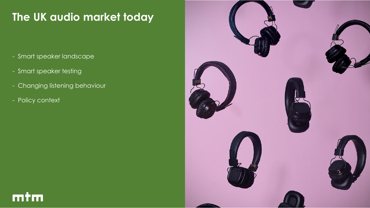# **The UK audio market today**

- Smart speaker landscape
- Smart speaker testing
- Changing listening behaviour
- Policy context

mtm

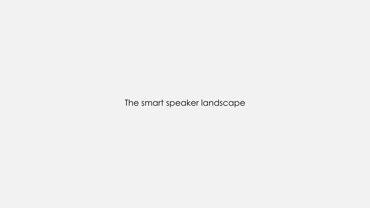The smart speaker landscape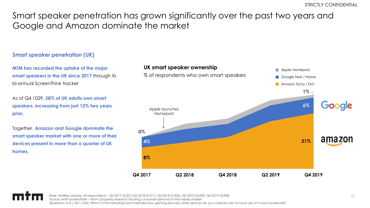### Smart speaker penetration has grown significantly over the past two years and Google and Amazon dominate the market

#### **Smart speaker penetration (UK)**

**MTM has recorded the uptake of the major smart speakers in the UK since 2017** through its bi-annual ScreenThink tracker

As of Q4 1029, **28% of UK adults own smart speakers, increasing from just 12% two years prior**.

Together, **Amazon and Google dominate the smart speaker market with one or more of their devices present in more than a quarter of UK homes**.



Base: NatRep sample. All respondents – Q4 2017 (3,001) Q2 2018 (3,011), Q4 2018 (3,006), Q2 2019 (3,009), Q4 2019 (3,008) Source: MTM ScreenThink – MTM's propriety research tracking consumer behavior in the media market Questions: A19./ A21./ A22. Which of the following hand-held devices/ gaming devices/ other devices do you currently own or have use of in your household?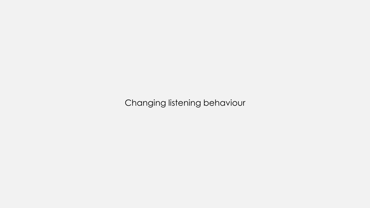Changing listening behaviour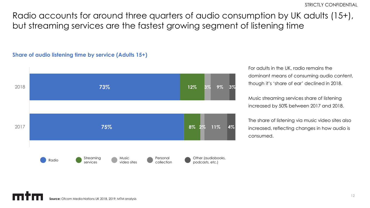Radio accounts for around three quarters of audio consumption by UK adults (15+), but streaming services are the fastest growing segment of listening time

#### **Share of audio listening time by service (Adults 15+)**



For adults in the UK, radio remains the dominant means of consuming audio content, though it's 'share of ear' declined in 2018.

Music streaming services share of listening increased by 50% between 2017 and 2018.

The share of listening via music video sites also increased, reflecting changes in how audio is consumed.

**Source:** Ofcom Media Nations UK 2018, 2019; MTM analysis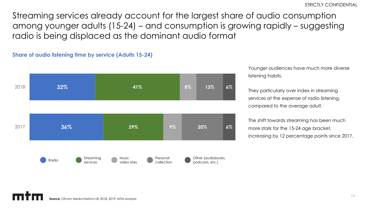Streaming services already account for the largest share of audio consumption among younger adults (15-24) – and consumption is growing rapidly – suggesting radio is being displaced as the dominant audio format



**Share of audio listening time by service (Adults 15-24)**

Younger audiences have much more diverse listening habits.

They particularly over index in streaming services at the expense of radio listening, compared to the average adult.

The shift towards streaming has been much more stark for the 15-24 age bracket, increasing by 12 percentage points since 2017.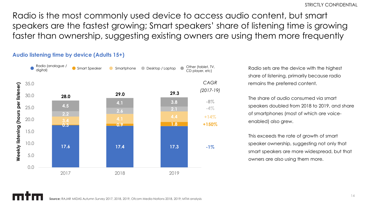Radio is the most commonly used device to access audio content, but smart speakers are the fastest growing; Smart speakers' share of listening time is growing faster than ownership, suggesting existing owners are using them more frequently



#### **Audio listening time by device (Adults 15+)**

Radio sets are the device with the highest share of listening, primarily because radio remains the preferred content.

The share of audio consumed via smart speakers doubled from 2018 to 2019, and share of smartphones (most of which are voiceenabled) also grew.

This exceeds the rate of growth of smart speaker ownership, suggesting not only that smart speakers are more widespread, but that owners are also using them more.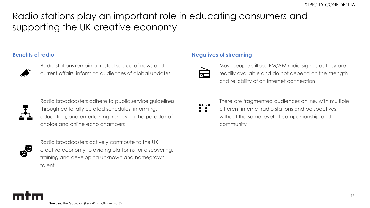## Radio stations play an important role in educating consumers and supporting the UK creative economy

#### **Benefits of radio**



Radio stations remain a trusted source of news and current affairs, informing audiences of global updates



Radio broadcasters adhere to public service guidelines through editorially curated schedules: informing, educating, and entertaining, removing the paradox of choice and online echo chambers

Radio broadcasters actively contribute to the UK creative economy, providing platforms for discovering, training and developing unknown and homegrown talent

#### **Negatives of streaming**



Most people still use FM/AM radio signals as they are readily available and do not depend on the strength and reliability of an internet connection

| . . | ٠ |
|-----|---|
|     |   |

There are fragmented audiences online, with multiple

different internet radio stations and perspectives,  $\bullet\cdot\bullet\cdot$ without the same level of companionship and community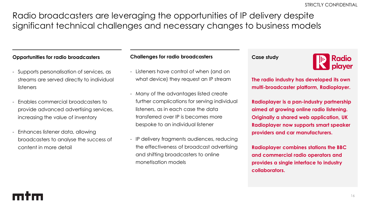Radio broadcasters are leveraging the opportunities of IP delivery despite significant technical challenges and necessary changes to business models

#### **Opportunities for radio broadcasters**

- Supports personalisation of services, as streams are served directly to individual listeners
- Enables commercial broadcasters to provide advanced advertising services, increasing the value of inventory
- Enhances listener data, allowing broadcasters to analyse the success of content in more detail

#### **Challenges for radio broadcasters**

- Listeners have control of when (and on what device) they request an IP stream
- Many of the advantages listed create further complications for serving individual listeners, as in each case the data transferred over IP is becomes more bespoke to an individual listener
- IP delivery fragments audiences, reducing the effectiveness of broadcast advertising and shifting broadcasters to online monetisation models

#### **Case study**



**The radio industry has developed its own multi-broadcaster platform, Radioplayer.**

**Radioplayer is a pan-industry partnership aimed at growing online radio listening. Originally a shared web application, UK Radioplayer now supports smart speaker providers and car manufacturers.**

**Radioplayer combines stations the BBC and commercial radio operators and provides a single interface to industry collaborators.**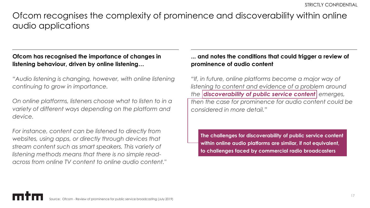### Ofcom recognises the complexity of prominence and discoverability within online audio applications

### **Ofcom has recognised the importance of changes in listening behaviour, driven by online listening…**

*"Audio listening is changing, however, with online listening continuing to grow in importance.* 

*On online platforms, listeners choose what to listen to in a variety of different ways depending on the platform and device.* 

*For instance, content can be listened to directly from websites, using apps, or directly through devices that stream content such as smart speakers. This variety of listening methods means that there is no simple readacross from online TV content to online audio content."*

### **... and notes the conditions that could trigger a review of prominence of audio content**

*"If, in future, online platforms become a major way of listening to content and evidence of a problem around the discoverability of public service content emerges, then the case for prominence for audio content could be considered in more detail."*

**The challenges for discoverability of public service content within online audio platforms are similar, if not equivalent, to challenges faced by commercial radio broadcasters**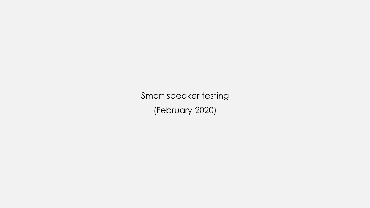Smart speaker testing (February 2020)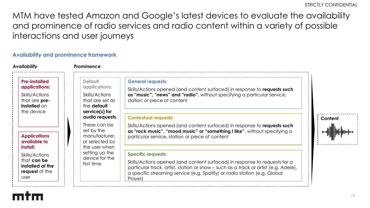MTM have tested Amazon and Google's latest devices to evaluate the availability and prominence of radio services and radio content within a variety of possible interactions and user journeys

#### **Availability and prominence framework**

| <b>Availability</b>                                                                                                  | Prominence                                                                                            |                                                                                                                                                                                                                                                                                        |         |
|----------------------------------------------------------------------------------------------------------------------|-------------------------------------------------------------------------------------------------------|----------------------------------------------------------------------------------------------------------------------------------------------------------------------------------------------------------------------------------------------------------------------------------------|---------|
| <b>Pre-installed</b><br>applications:<br>Skills/Actions<br>that are <b>pre-</b><br><b>installed</b> on<br>the device | <b>Default</b><br>applications:<br>Skills/Actions<br>that are set as<br>the default<br>service(s) for | <b>General requests:</b><br>Skills/Actions opened (and content surfaced) in response to requests such<br>as "music", "news" and "radio", without specifying a particular service,<br>station or piece of content                                                                       |         |
| <b>Applications</b><br>available to                                                                                  | audio requests.<br>These can be<br>set by the<br>manufacturer,<br>or selected by                      | <b>Contextual requests:</b><br>Skills/Actions opened (and content surfaced) in response to requests such<br>as "rock music", "mood music" or "something I like", without specifying a<br>particular service, station or piece of content                                               | Content |
| install:<br>Skills/Actions<br>that can be<br>installed at the<br>request of the<br>user                              | the user when<br>setting up the<br>device for the<br>first time                                       | <b>Specific requests:</b><br>Skills/Actions opened (and content surfaced) in response to requests for a<br>particular track, artist, station or show – such as a track or artist (e.g. Adele),<br>a specific streaming service (e.g. Spotify) or radio station (e.g. Global<br>Player) |         |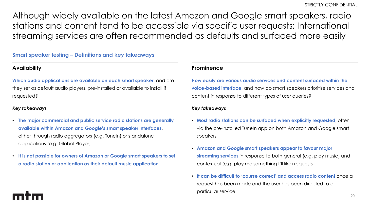Although widely available on the latest Amazon and Google smart speakers, radio stations and content tend to be accessible via specific user requests; International streaming services are often recommended as defaults and surfaced more easily

#### **Smart speaker testing – Definitions and key takeaways**

#### **Availability**

**Which audio applications are available on each smart speaker**, and are they set as default audio players, pre-installed or available to install if requested?

#### *Key takeaways*

- **The major commercial and public service radio stations are generally available within Amazon and Google's smart speaker interfaces**, either through radio aggregators (e.g. TuneIn) or standalone applications (e.g. Global Player)
- **It is not possible for owners of Amazon or Google smart speakers to set a radio station or application as their default music application**

#### **Prominence**

**How easily are various audio services and content surfaced within the voice-based interface**, and how do smart speakers prioritise services and content in response to different types of user queries?

#### *Key takeaways*

- **Most radio stations can be surfaced when explicitly requested**, often via the pre-installed TuneIn app on both Amazon and Google smart speakers
- **Amazon and Google smart speakers appear to favour major streaming services** in response to both general (e.g. play music) and contextual (e.g. play me something I'll like) requests
- **It can be difficult to 'course correct' and access radio content** once a request has been made and the user has been directed to a particular service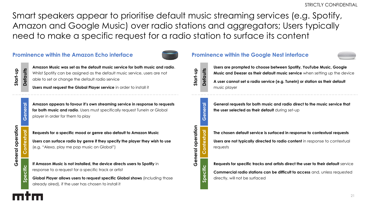Smart speakers appear to prioritise default music streaming services (e.g. Spotify, Amazon and Google Music) over radio stations and aggregators; Users typically need to make a specific request for a radio station to surface its content

#### **Prominence within the Amazon Echo interface**



**Start** 우.<br>구 **Defaults**

**General**

**Contextual**

ontextual

**Amazon Music was set as the default music service for both music and radio**. Whilst Spotify can be assigned as the default music service, users are not able to set or change the default radio service

**Users must request the Global Player service** in order to install it

**Amazon appears to favour it's own streaming service in response to requests for both music and radio**. Users must specifically request TuneIn or Global player in order for them to play

General operation **General operation**

**Requests for a specific mood or genre also default to Amazon Music Users can surface radio by genre if they specify the player they wish to use**  (e.g. "Alexa, play me pop music on Global")

**If Amazon Music is not installed, the device directs users to Spotify** in response to a request for a specific track or artist

**Global Player allows users to request specific Global shows** (including those already aired), if the user has chosen to install it





**Users are prompted to choose between Spotify, YouTube Music, Google Music and Deezer as their default music service** when setting up the device

**A user cannot set a radio service (e.g. TuneIn) or station as their default**  music player



**General requests for both music and radio direct to the music service that the user selected as their default** during set-up

**The chosen default service is surfaced in response to contextual requests Users are not typically directed to radio content** in response to contextual requests

**Requests for specific tracks and artists direct the user to their default** service **Commercial radio stations can be difficult to access** and, unless requested directly, will not be surfaced

**Specific**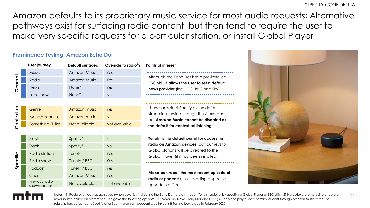Amazon defaults to its proprietary music service for most audio requests; Alternative pathways exist for surfacing radio content, but then tend to require the user to make very specific requests for a particular station, or install Global Player

|           |                                | <b>Prominence Testing: Amazon Echo Dot</b> |                                  |                                                                                             |
|-----------|--------------------------------|--------------------------------------------|----------------------------------|---------------------------------------------------------------------------------------------|
|           | <b>User journey</b>            | Default surfaced                           | Override to radio <sup>1</sup> ? | Points of interest                                                                          |
| General   | Music                          | <b>Amazon Music</b>                        | Yes                              |                                                                                             |
|           | Radio                          | <b>Amazon Music</b>                        | Yes                              | Although the Echo Dot has a pre-installed<br>BBC Skill, it allows the user to set a default |
|           | <b>News</b>                    | None <sup>2</sup>                          | Yes                              | news provider (incl. LBC, BBC and Sky)                                                      |
|           | Local news                     | None <sup>2</sup>                          | <b>No</b>                        |                                                                                             |
|           |                                |                                            |                                  |                                                                                             |
|           | Genre                          | Amazon music                               | Yes                              | Users can select Spotify as the default                                                     |
|           | Mood/scenario                  | Amazon music                               | <b>No</b>                        | streaming service through the Alexa app,<br>but Amazon Music cannot be disabled as          |
| Contextua | Something I'll like            | Not available                              | Not available                    | the default for contextual listening                                                        |
|           |                                |                                            |                                  |                                                                                             |
|           | Artist                         | Spotify <sup>3</sup>                       | <b>No</b>                        | Tuneln is the default portal for accessing                                                  |
| Specific  | <b>Track</b>                   | Spotify <sup>3</sup>                       | <b>No</b>                        | radio on Amazon devices, but journeys to                                                    |
|           | Radio station                  | Tuneln                                     | Yes                              | Global stations will be directed to the<br>Global Player (if it has been installed)         |
|           | Radio show                     | Tuneln / BBC                               | Yes                              |                                                                                             |
|           | Podcast                        | Tuneln / BBC                               | Yes                              |                                                                                             |
|           | Charts                         | <b>Amazon Music</b>                        | Yes                              | Alexa can recall the most recent episode of<br>radio or podcasts, but recalling a specific  |
|           | Previous radio<br>show/podcast | Not available                              | Not available                    | episode is difficult                                                                        |





Notes: (1) Radio override was achieved (when able) by instructing the Echo Dot to play through TuneIn radio, or by specifying Global Player or BBC skills; (2) Here Alexa prompted to choose a news source based on preference, she gave the following options: BBC News, Sky News, Daily Mail and LBC; (3) Unable to play a specific track or artist through Amazon Music without a subscription, defaulted to Spotify after Spotify premium account was linked; (4) Testing took place in February 2020

22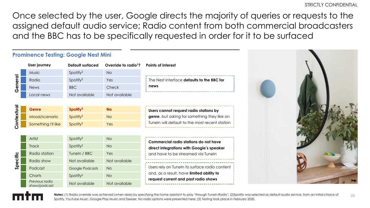Once selected by the user, Google directs the majority of queries or requests to the assigned default audio service; Radio content from both commercial broadcasters and the BBC has to be specifically requested in order for it to be surfaced

|           | <b>Prominence Testing: Google Nest Mini</b> |                         |                                  |                                                                                                                          |
|-----------|---------------------------------------------|-------------------------|----------------------------------|--------------------------------------------------------------------------------------------------------------------------|
|           | User journey                                | <b>Default surfaced</b> | Override to radio <sup>1</sup> ? | <b>Points of interest</b>                                                                                                |
| era<br>(Ŋ | Music                                       | Spotify <sup>2</sup>    | <b>No</b>                        |                                                                                                                          |
|           | Radio                                       | Spotify <sup>2</sup>    | Yes                              | The Nest interface defaults to the BBC for<br>news                                                                       |
|           | <b>News</b>                                 | <b>BBC</b>              | Check                            |                                                                                                                          |
|           | Local news                                  | Not available           | Not available                    |                                                                                                                          |
|           |                                             |                         |                                  |                                                                                                                          |
| S         | <b>Genre</b>                                | Spotify <sup>2</sup>    | <b>No</b>                        | Users cannot request radio stations by                                                                                   |
|           | Mood/scenario                               | Spotify <sup>2</sup>    | <b>No</b>                        | genre, but asking for something they like on                                                                             |
|           | Something I'll like                         | Spotify <sup>2</sup>    | Yes                              | Tuneln will default to the most recent station                                                                           |
|           |                                             |                         |                                  |                                                                                                                          |
|           | Artist                                      | Spotify <sup>2</sup>    | <b>No</b>                        | Commercial radio stations do not have<br>direct integrations with Google's speaker<br>and have to be streamed via Tuneln |
|           | <b>Track</b>                                | Spotify <sup>2</sup>    | No                               |                                                                                                                          |
|           | Radio station                               | Tuneln / BBC            | Yes                              |                                                                                                                          |
| ecific    | Radio show                                  | Not available           | Not available                    |                                                                                                                          |
|           | Podcast                                     | Google Podcasts         | <b>No</b>                        | Users rely on Tuneln to surface radio content<br>and, as a result, have limited ability to                               |
|           | Charts                                      | Spotify <sup>2</sup>    | <b>No</b>                        |                                                                                                                          |
|           | Previous radio<br>show/podcast              | Not available           | Not available                    | request current and past radio shows                                                                                     |

23 Notes: (1) Radio override was achieved (when able) by specifying the home assistant to play 'through TuneIn Radio'; (2)Spotify was selected as default audio service, from an initial choice of Spotify, YouTube Music, Google Play Music and Deezer. No radio options were presented here; (3) Testing took place in February 2020.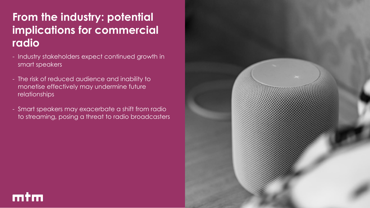# **From the industry: potential implications for commercial radio**

- Industry stakeholders expect continued growth in smart speakers
- The risk of reduced audience and inability to monetise effectively may undermine future relationships

mtm

- Smart speakers may exacerbate a shift from radio to streaming, posing a threat to radio broadcasters

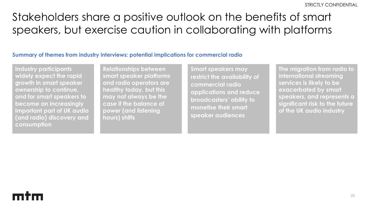# Stakeholders share a positive outlook on the benefits of smart speakers, but exercise caution in collaborating with platforms

#### **Summary of themes from industry interviews: potential implications for commercial radio**

**Industry participants widely expect the rapid growth in smart speaker ownership to continue, and for smart speakers to become an increasingly important part of UK audio (and radio) discovery and consumption**

**Relationships between smart speaker platforms and radio operators are healthy today, but this may not always be the case if the balance of power (and listening hours) shifts**

**Smart speakers may restrict the availability of commercial radio applications and reduce broadcasters' ability to monetise their smart speaker audiences**

**The migration from radio to international streaming services is likely to be exacerbated by smart speakers, and represents a significant risk to the future of the UK audio industry**

# mtm